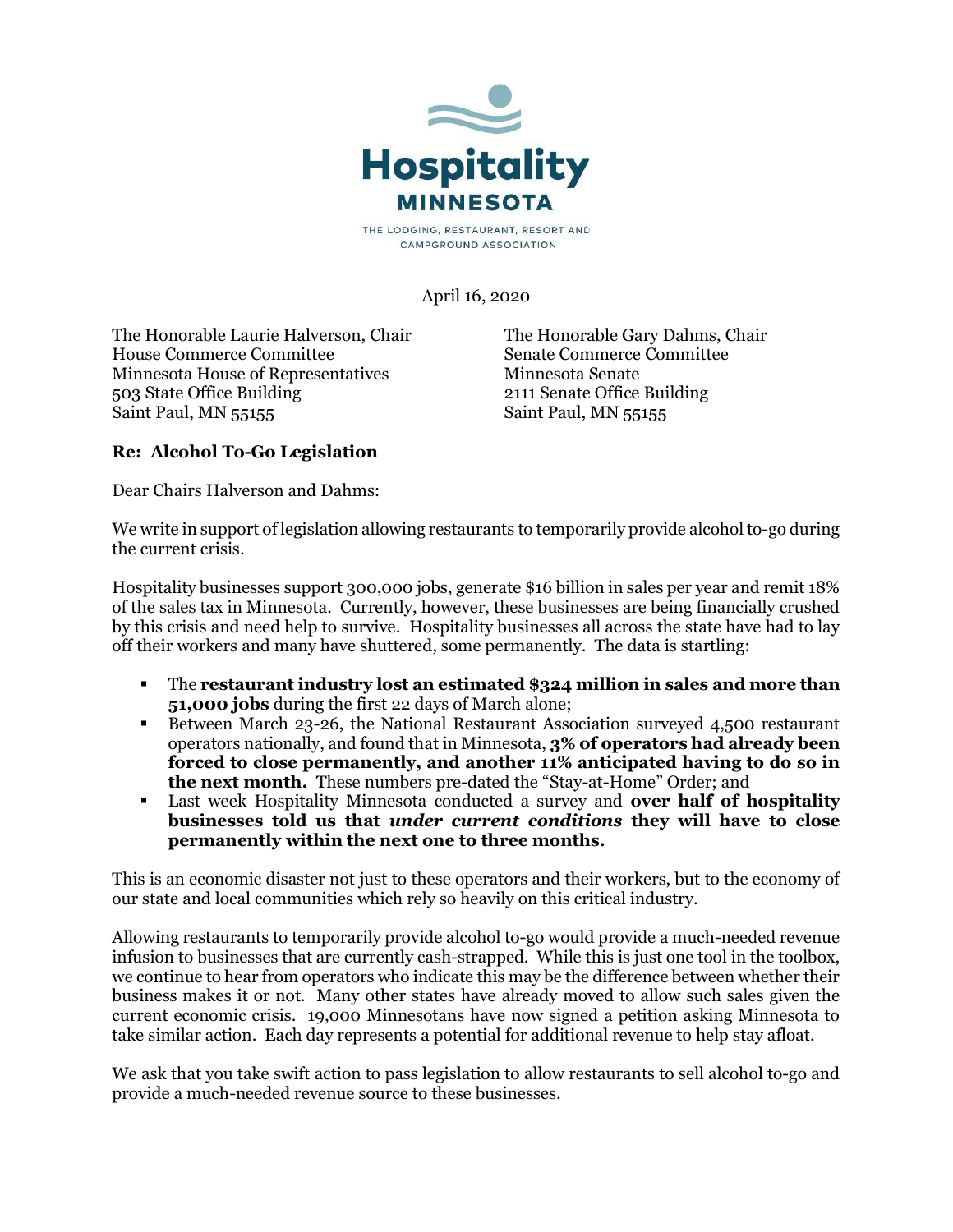

CAMPGROUND ASSOCIATION

April 16, 2020

The Honorable Laurie Halverson, Chair House Commerce Committee Minnesota House of Representatives 503 State Office Building Saint Paul, MN 55155

The Honorable Gary Dahms, Chair Senate Commerce Committee Minnesota Senate 2111 Senate Office Building Saint Paul, MN 55155

## Re: Alcohol To-Go Legislation

Dear Chairs Halverson and Dahms:

We write in support of legislation allowing restaurants to temporarily provide alcohol to-go during the current crisis.

Hospitality businesses support 300,000 jobs, generate \$16 billion in sales per year and remit 18% of the sales tax in Minnesota. Currently, however, these businesses are being financially crushed by this crisis and need help to survive. Hospitality businesses all across the state have had to lay off their workers and many have shuttered, some permanently. The data is startling:

- The restaurant industry lost an estimated \$324 million in sales and more than 51,000 jobs during the first 22 days of March alone;
- Between March 23-26, the National Restaurant Association surveyed 4,500 restaurant operators nationally, and found that in Minnesota, 3% of operators had already been forced to close permanently, and another 11% anticipated having to do so in the next month. These numbers pre-dated the "Stay-at-Home" Order; and
- **EXECUTE:** Last week Hospitality Minnesota conducted a survey and **over half of hospitality** businesses told us that under current conditions they will have to close permanently within the next one to three months.

This is an economic disaster not just to these operators and their workers, but to the economy of our state and local communities which rely so heavily on this critical industry.

Allowing restaurants to temporarily provide alcohol to-go would provide a much-needed revenue infusion to businesses that are currently cash-strapped. While this is just one tool in the toolbox, we continue to hear from operators who indicate this may be the difference between whether their business makes it or not. Many other states have already moved to allow such sales given the current economic crisis. 19,000 Minnesotans have now signed a petition asking Minnesota to take similar action. Each day represents a potential for additional revenue to help stay afloat.

We ask that you take swift action to pass legislation to allow restaurants to sell alcohol to-go and provide a much-needed revenue source to these businesses.